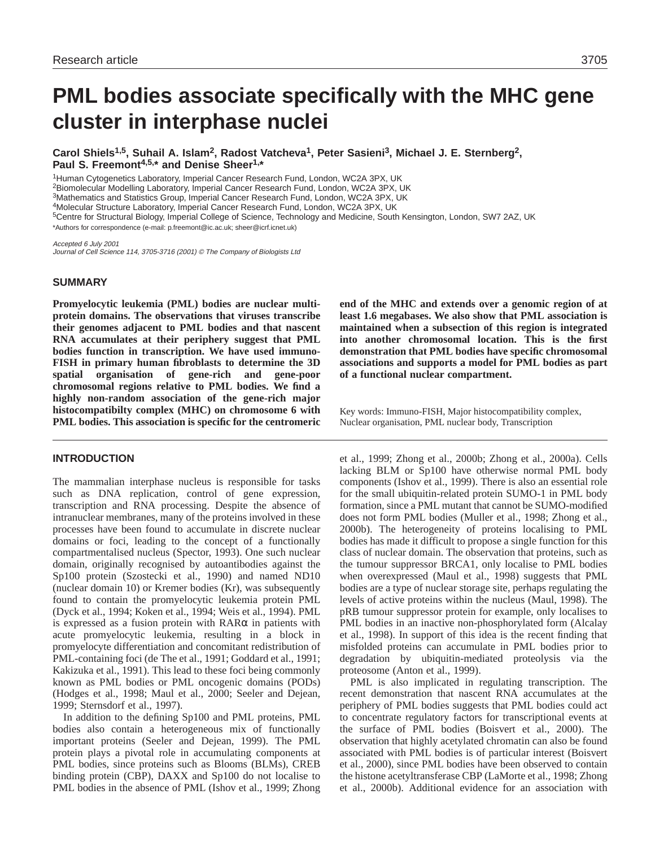# **PML bodies associate specifically with the MHC gene cluster in interphase nuclei**

**Carol Shiels1,5, Suhail A. Islam2, Radost Vatcheva1, Peter Sasieni3, Michael J. E. Sternberg2, Paul S. Freemont4,5,\* and Denise Sheer1,\***

1Human Cytogenetics Laboratory, Imperial Cancer Research Fund, London, WC2A 3PX, UK 2Biomolecular Modelling Laboratory, Imperial Cancer Research Fund, London, WC2A 3PX, UK 3Mathematics and Statistics Group, Imperial Cancer Research Fund, London, WC2A 3PX, UK 4Molecular Structure Laboratory, Imperial Cancer Research Fund, London, WC2A 3PX, UK 5Centre for Structural Biology, Imperial College of Science, Technology and Medicine, South Kensington, London, SW7 2AZ, UK \*Authors for correspondence (e-mail: p.freemont@ic.ac.uk; sheer@icrf.icnet.uk)

Accepted 6 July 2001 Journal of Cell Science 114, 3705-3716 (2001) © The Company of Biologists Ltd

### **SUMMARY**

**Promyelocytic leukemia (PML) bodies are nuclear multiprotein domains. The observations that viruses transcribe their genomes adjacent to PML bodies and that nascent RNA accumulates at their periphery suggest that PML bodies function in transcription. We have used immuno-FISH in primary human fibroblasts to determine the 3D spatial organisation of gene-rich and gene-poor chromosomal regions relative to PML bodies. We find a highly non-random association of the gene-rich major histocompatibilty complex (MHC) on chromosome 6 with PML bodies. This association is specific for the centromeric**

# **INTRODUCTION**

The mammalian interphase nucleus is responsible for tasks such as DNA replication, control of gene expression, transcription and RNA processing. Despite the absence of intranuclear membranes, many of the proteins involved in these processes have been found to accumulate in discrete nuclear domains or foci, leading to the concept of a functionally compartmentalised nucleus (Spector, 1993). One such nuclear domain, originally recognised by autoantibodies against the Sp100 protein (Szostecki et al., 1990) and named ND10 (nuclear domain 10) or Kremer bodies (Kr), was subsequently found to contain the promyelocytic leukemia protein PML (Dyck et al., 1994; Koken et al., 1994; Weis et al., 1994). PML is expressed as a fusion protein with RARα in patients with acute promyelocytic leukemia, resulting in a block in promyelocyte differentiation and concomitant redistribution of PML-containing foci (de The et al., 1991; Goddard et al., 1991; Kakizuka et al., 1991). This lead to these foci being commonly known as PML bodies or PML oncogenic domains (PODs) (Hodges et al., 1998; Maul et al., 2000; Seeler and Dejean, 1999; Sternsdorf et al., 1997).

In addition to the defining Sp100 and PML proteins, PML bodies also contain a heterogeneous mix of functionally important proteins (Seeler and Dejean, 1999). The PML protein plays a pivotal role in accumulating components at PML bodies, since proteins such as Blooms (BLMs), CREB binding protein (CBP), DAXX and Sp100 do not localise to PML bodies in the absence of PML (Ishov et al., 1999; Zhong **end of the MHC and extends over a genomic region of at least 1.6 megabases. We also show that PML association is maintained when a subsection of this region is integrated into another chromosomal location. This is the first demonstration that PML bodies have specific chromosomal associations and supports a model for PML bodies as part of a functional nuclear compartment.**

Key words: Immuno-FISH, Major histocompatibility complex, Nuclear organisation, PML nuclear body, Transcription

et al., 1999; Zhong et al., 2000b; Zhong et al., 2000a). Cells lacking BLM or Sp100 have otherwise normal PML body components (Ishov et al., 1999). There is also an essential role for the small ubiquitin-related protein SUMO-1 in PML body formation, since a PML mutant that cannot be SUMO-modified does not form PML bodies (Muller et al., 1998; Zhong et al., 2000b). The heterogeneity of proteins localising to PML bodies has made it difficult to propose a single function for this class of nuclear domain. The observation that proteins, such as the tumour suppressor BRCA1, only localise to PML bodies when overexpressed (Maul et al., 1998) suggests that PML bodies are a type of nuclear storage site, perhaps regulating the levels of active proteins within the nucleus (Maul, 1998). The pRB tumour suppressor protein for example, only localises to PML bodies in an inactive non-phosphorylated form (Alcalay et al., 1998). In support of this idea is the recent finding that misfolded proteins can accumulate in PML bodies prior to degradation by ubiquitin-mediated proteolysis via the proteosome (Anton et al., 1999).

PML is also implicated in regulating transcription. The recent demonstration that nascent RNA accumulates at the periphery of PML bodies suggests that PML bodies could act to concentrate regulatory factors for transcriptional events at the surface of PML bodies (Boisvert et al., 2000). The observation that highly acetylated chromatin can also be found associated with PML bodies is of particular interest (Boisvert et al., 2000), since PML bodies have been observed to contain the histone acetyltransferase CBP (LaMorte et al., 1998; Zhong et al., 2000b). Additional evidence for an association with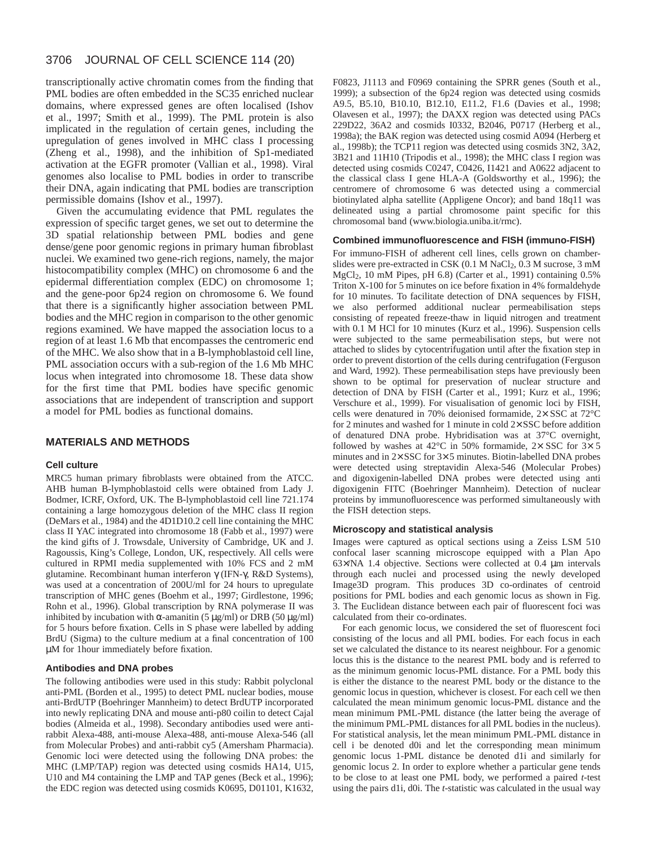# 3706 JOURNAL OF CELL SCIENCE 114 (20)

transcriptionally active chromatin comes from the finding that PML bodies are often embedded in the SC35 enriched nuclear domains, where expressed genes are often localised (Ishov et al., 1997; Smith et al., 1999). The PML protein is also implicated in the regulation of certain genes, including the upregulation of genes involved in MHC class I processing (Zheng et al., 1998), and the inhibition of Sp1-mediated activation at the EGFR promoter (Vallian et al., 1998). Viral genomes also localise to PML bodies in order to transcribe their DNA, again indicating that PML bodies are transcription permissible domains (Ishov et al., 1997).

Given the accumulating evidence that PML regulates the expression of specific target genes, we set out to determine the 3D spatial relationship between PML bodies and gene dense/gene poor genomic regions in primary human fibroblast nuclei. We examined two gene-rich regions, namely, the major histocompatibility complex (MHC) on chromosome 6 and the epidermal differentiation complex (EDC) on chromosome 1; and the gene-poor 6p24 region on chromosome 6. We found that there is a significantly higher association between PML bodies and the MHC region in comparison to the other genomic regions examined. We have mapped the association locus to a region of at least 1.6 Mb that encompasses the centromeric end of the MHC. We also show that in a B-lymphoblastoid cell line, PML association occurs with a sub-region of the 1.6 Mb MHC locus when integrated into chromosome 18. These data show for the first time that PML bodies have specific genomic associations that are independent of transcription and support a model for PML bodies as functional domains.

# **MATERIALS AND METHODS**

#### **Cell culture**

MRC5 human primary fibroblasts were obtained from the ATCC. AHB human B-lymphoblastoid cells were obtained from Lady J. Bodmer, ICRF, Oxford, UK. The B-lymphoblastoid cell line 721.174 containing a large homozygous deletion of the MHC class II region (DeMars et al., 1984) and the 4D1D10.2 cell line containing the MHC class II YAC integrated into chromosome 18 (Fabb et al., 1997) were the kind gifts of J. Trowsdale, University of Cambridge, UK and J. Ragoussis, King's College, London, UK, respectively. All cells were cultured in RPMI media supplemented with 10% FCS and 2 mM glutamine. Recombinant human interferon γ (IFN-γ, R&D Systems), was used at a concentration of 200U/ml for 24 hours to upregulate transcription of MHC genes (Boehm et al., 1997; Girdlestone, 1996; Rohn et al., 1996). Global transcription by RNA polymerase II was inhibited by incubation with  $\alpha$ -amanitin (5 µg/ml) or DRB (50 µg/ml) for 5 hours before fixation. Cells in S phase were labelled by adding BrdU (Sigma) to the culture medium at a final concentration of 100 µM for 1hour immediately before fixation.

#### **Antibodies and DNA probes**

The following antibodies were used in this study: Rabbit polyclonal anti-PML (Borden et al., 1995) to detect PML nuclear bodies, mouse anti-BrdUTP (Boehringer Mannheim) to detect BrdUTP incorporated into newly replicating DNA and mouse anti-p80 coilin to detect Cajal bodies (Almeida et al., 1998). Secondary antibodies used were antirabbit Alexa-488, anti-mouse Alexa-488, anti-mouse Alexa-546 (all from Molecular Probes) and anti-rabbit cy5 (Amersham Pharmacia). Genomic loci were detected using the following DNA probes: the MHC (LMP/TAP) region was detected using cosmids HA14, U15, U10 and M4 containing the LMP and TAP genes (Beck et al., 1996); the EDC region was detected using cosmids K0695, D01101, K1632,

F0823, J1113 and F0969 containing the SPRR genes (South et al., 1999); a subsection of the 6p24 region was detected using cosmids A9.5, B5.10, B10.10, B12.10, E11.2, F1.6 (Davies et al., 1998; Olavesen et al., 1997); the DAXX region was detected using PACs 229D22, 36A2 and cosmids I0332, B2046, P0717 (Herberg et al., 1998a); the BAK region was detected using cosmid A094 (Herberg et al., 1998b); the TCP11 region was detected using cosmids 3N2, 3A2, 3B21 and 11H10 (Tripodis et al., 1998); the MHC class I region was detected using cosmids C0247, C0426, I1421 and A0622 adjacent to the classical class I gene HLA-A (Goldsworthy et al., 1996); the centromere of chromosome 6 was detected using a commercial biotinylated alpha satellite (Appligene Oncor); and band 18q11 was delineated using a partial chromosome paint specific for this chromosomal band (www.biologia.uniba.it/rmc).

### **Combined immunofluorescence and FISH (immuno-FISH)**

For immuno-FISH of adherent cell lines, cells grown on chamberslides were pre-extracted in CSK (0.1 M NaCl<sub>2</sub>, 0.3 M sucrose, 3 mM MgCl2, 10 mM Pipes, pH 6.8) (Carter et al., 1991) containing 0.5% Triton X-100 for 5 minutes on ice before fixation in 4% formaldehyde for 10 minutes. To facilitate detection of DNA sequences by FISH, we also performed additional nuclear permeabilisation steps consisting of repeated freeze-thaw in liquid nitrogen and treatment with 0.1 M HCl for 10 minutes (Kurz et al., 1996). Suspension cells were subjected to the same permeabilisation steps, but were not attached to slides by cytocentrifugation until after the fixation step in order to prevent distortion of the cells during centrifugation (Ferguson and Ward, 1992). These permeabilisation steps have previously been shown to be optimal for preservation of nuclear structure and detection of DNA by FISH (Carter et al., 1991; Kurz et al., 1996; Verschure et al., 1999). For visualisation of genomic loci by FISH, cells were denatured in 70% deionised formamide, 2× SSC at 72°C for 2 minutes and washed for 1 minute in cold  $2 \times SSC$  before addition of denatured DNA probe. Hybridisation was at 37°C overnight, followed by washes at 42 $^{\circ}$ C in 50% formamide, 2× SSC for 3× 5 minutes and in 2× SSC for 3× 5 minutes. Biotin-labelled DNA probes were detected using streptavidin Alexa-546 (Molecular Probes) and digoxigenin-labelled DNA probes were detected using anti digoxigenin FITC (Boehringer Mannheim). Detection of nuclear proteins by immunofluorescence was performed simultaneously with the FISH detection steps.

#### **Microscopy and statistical analysis**

Images were captured as optical sections using a Zeiss LSM 510 confocal laser scanning microscope equipped with a Plan Apo 63×/NA 1.4 objective. Sections were collected at 0.4 µm intervals through each nuclei and processed using the newly developed Image3D program. This produces 3D co-ordinates of centroid positions for PML bodies and each genomic locus as shown in Fig. 3. The Euclidean distance between each pair of fluorescent foci was calculated from their co-ordinates.

For each genomic locus, we considered the set of fluorescent foci consisting of the locus and all PML bodies. For each focus in each set we calculated the distance to its nearest neighbour. For a genomic locus this is the distance to the nearest PML body and is referred to as the minimum genomic locus-PML distance. For a PML body this is either the distance to the nearest PML body or the distance to the genomic locus in question, whichever is closest. For each cell we then calculated the mean minimum genomic locus-PML distance and the mean minimum PML-PML distance (the latter being the average of the minimum PML-PML distances for all PML bodies in the nucleus). For statistical analysis, let the mean minimum PML-PML distance in cell i be denoted d0i and let the corresponding mean minimum genomic locus 1-PML distance be denoted d1i and similarly for genomic locus 2. In order to explore whether a particular gene tends to be close to at least one PML body, we performed a paired *t*-test using the pairs d1i, d0i. The *t*-statistic was calculated in the usual way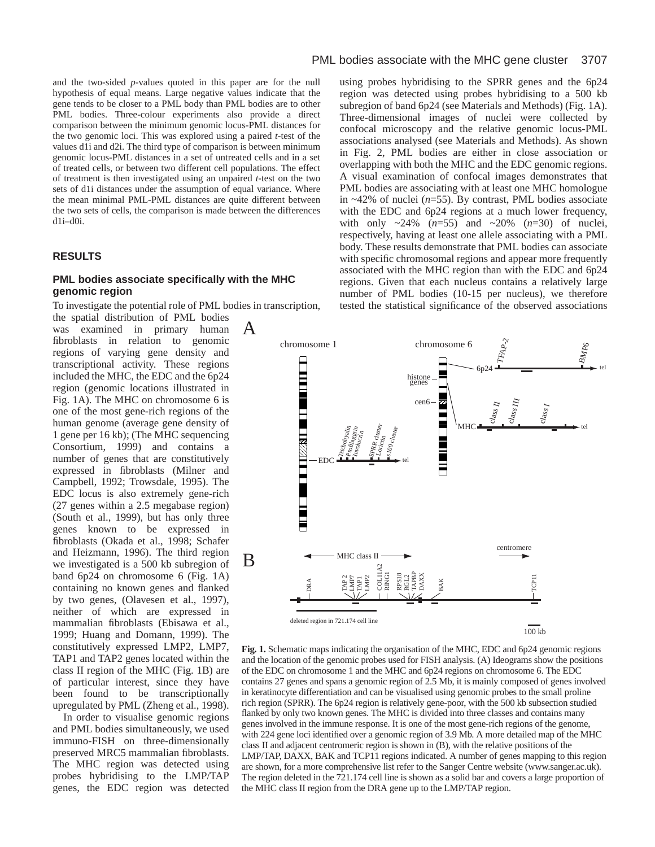and the two-sided *p*-values quoted in this paper are for the null hypothesis of equal means. Large negative values indicate that the gene tends to be closer to a PML body than PML bodies are to other PML bodies. Three-colour experiments also provide a direct comparison between the minimum genomic locus-PML distances for the two genomic loci. This was explored using a paired *t*-test of the values d1i and d2i. The third type of comparison is between minimum genomic locus-PML distances in a set of untreated cells and in a set of treated cells, or between two different cell populations. The effect of treatment is then investigated using an unpaired *t*-test on the two sets of d1i distances under the assumption of equal variance. Where the mean minimal PML-PML distances are quite different between the two sets of cells, the comparison is made between the differences d1i–d0i.

#### **RESULTS**

## **PML bodies associate specifically with the MHC genomic region**

To investigate the potential role of PML bodies in transcription,

the spatial distribution of PML bodies was examined in primary human fibroblasts in relation to genomic regions of varying gene density and transcriptional activity. These regions included the MHC, the EDC and the 6p24 region (genomic locations illustrated in Fig. 1A). The MHC on chromosome 6 is one of the most gene-rich regions of the human genome (average gene density of 1 gene per 16 kb); (The MHC sequencing Consortium, 1999) and contains a number of genes that are constitutively expressed in fibroblasts (Milner and Campbell, 1992; Trowsdale, 1995). The EDC locus is also extremely gene-rich (27 genes within a 2.5 megabase region) (South et al., 1999), but has only three genes known to be expressed in fibroblasts (Okada et al., 1998; Schafer and Heizmann, 1996). The third region we investigated is a 500 kb subregion of band 6p24 on chromosome 6 (Fig. 1A) containing no known genes and flanked by two genes, (Olavesen et al., 1997), neither of which are expressed in mammalian fibroblasts (Ebisawa et al., 1999; Huang and Domann, 1999). The constitutively expressed LMP2, LMP7, TAP1 and TAP2 genes located within the class II region of the MHC (Fig. 1B) are of particular interest, since they have been found to be transcriptionally upregulated by PML (Zheng et al., 1998).

In order to visualise genomic regions and PML bodies simultaneously, we used immuno-FISH on three-dimensionally preserved MRC5 mammalian fibroblasts. The MHC region was detected using probes hybridising to the LMP/TAP genes, the EDC region was detected using probes hybridising to the SPRR genes and the 6p24 region was detected using probes hybridising to a 500 kb subregion of band 6p24 (see Materials and Methods) (Fig. 1A). Three-dimensional images of nuclei were collected by confocal microscopy and the relative genomic locus-PML associations analysed (see Materials and Methods). As shown in Fig. 2, PML bodies are either in close association or overlapping with both the MHC and the EDC genomic regions. A visual examination of confocal images demonstrates that PML bodies are associating with at least one MHC homologue in ~42% of nuclei (*n*=55). By contrast, PML bodies associate with the EDC and 6p24 regions at a much lower frequency, with only  $\sim 24\%$  ( $n=55$ ) and  $\sim 20\%$  ( $n=30$ ) of nuclei, respectively, having at least one allele associating with a PML body. These results demonstrate that PML bodies can associate with specific chromosomal regions and appear more frequently associated with the MHC region than with the EDC and 6p24 regions. Given that each nucleus contains a relatively large number of PML bodies (10-15 per nucleus), we therefore tested the statistical significance of the observed associations



**Fig. 1.** Schematic maps indicating the organisation of the MHC, EDC and 6p24 genomic regions and the location of the genomic probes used for FISH analysis. (A) Ideograms show the positions of the EDC on chromosome 1 and the MHC and 6p24 regions on chromosome 6. The EDC contains 27 genes and spans a genomic region of 2.5 Mb, it is mainly composed of genes involved in keratinocyte differentiation and can be visualised using genomic probes to the small proline rich region (SPRR). The 6p24 region is relatively gene-poor, with the 500 kb subsection studied flanked by only two known genes. The MHC is divided into three classes and contains many genes involved in the immune response. It is one of the most gene-rich regions of the genome, with 224 gene loci identified over a genomic region of 3.9 Mb. A more detailed map of the MHC class II and adjacent centromeric region is shown in (B), with the relative positions of the LMP/TAP, DAXX, BAK and TCP11 regions indicated. A number of genes mapping to this region are shown, for a more comprehensive list refer to the Sanger Centre website (www.sanger.ac.uk). The region deleted in the 721.174 cell line is shown as a solid bar and covers a large proportion of the MHC class II region from the DRA gene up to the LMP/TAP region.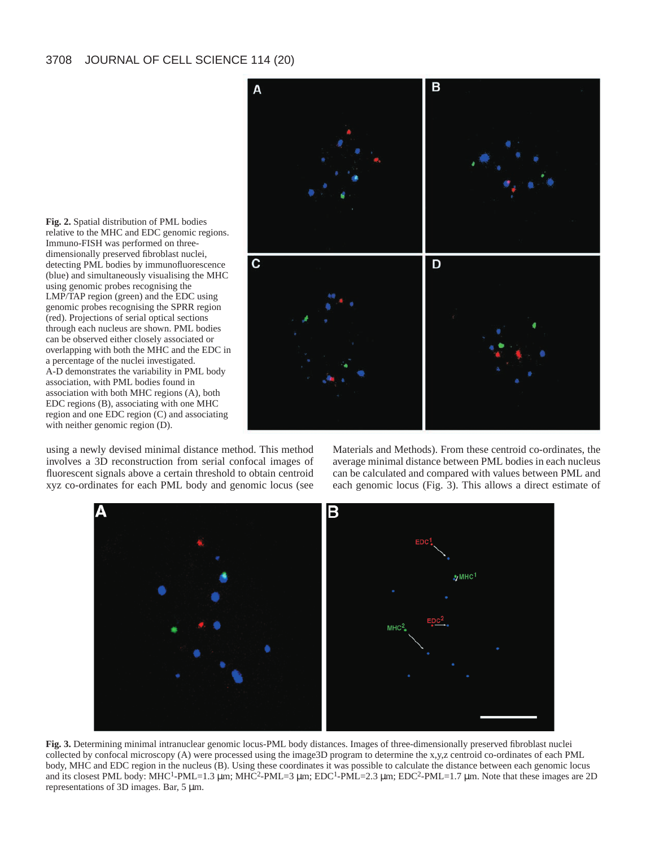

**Fig. 2.** Spatial distribution of PML bodies relative to the MHC and EDC genomic regions. Immuno-FISH was performed on threedimensionally preserved fibroblast nuclei, detecting PML bodies by immunofluorescence (blue) and simultaneously visualising the MHC using genomic probes recognising the LMP/TAP region (green) and the EDC using genomic probes recognising the SPRR region (red). Projections of serial optical sections through each nucleus are shown. PML bodies can be observed either closely associated or overlapping with both the MHC and the EDC in a percentage of the nuclei investigated. A-D demonstrates the variability in PML body association, with PML bodies found in association with both MHC regions (A), both EDC regions (B), associating with one MHC region and one EDC region (C) and associating with neither genomic region (D).

using a newly devised minimal distance method. This method involves a 3D reconstruction from serial confocal images of fluorescent signals above a certain threshold to obtain centroid xyz co-ordinates for each PML body and genomic locus (see

Materials and Methods). From these centroid co-ordinates, the average minimal distance between PML bodies in each nucleus can be calculated and compared with values between PML and each genomic locus (Fig. 3). This allows a direct estimate of



**Fig. 3.** Determining minimal intranuclear genomic locus-PML body distances. Images of three-dimensionally preserved fibroblast nuclei collected by confocal microscopy (A) were processed using the image3D program to determine the x,y,z centroid co-ordinates of each PML body, MHC and EDC region in the nucleus (B). Using these coordinates it was possible to calculate the distance between each genomic locus and its closest PML body: MHC<sup>1</sup>-PML=1.3 µm; MHC<sup>2</sup>-PML=3 µm; EDC<sup>1</sup>-PML=2.3 µm; EDC<sup>2</sup>-PML=1.7 µm. Note that these images are 2D representations of 3D images. Bar, 5 µm.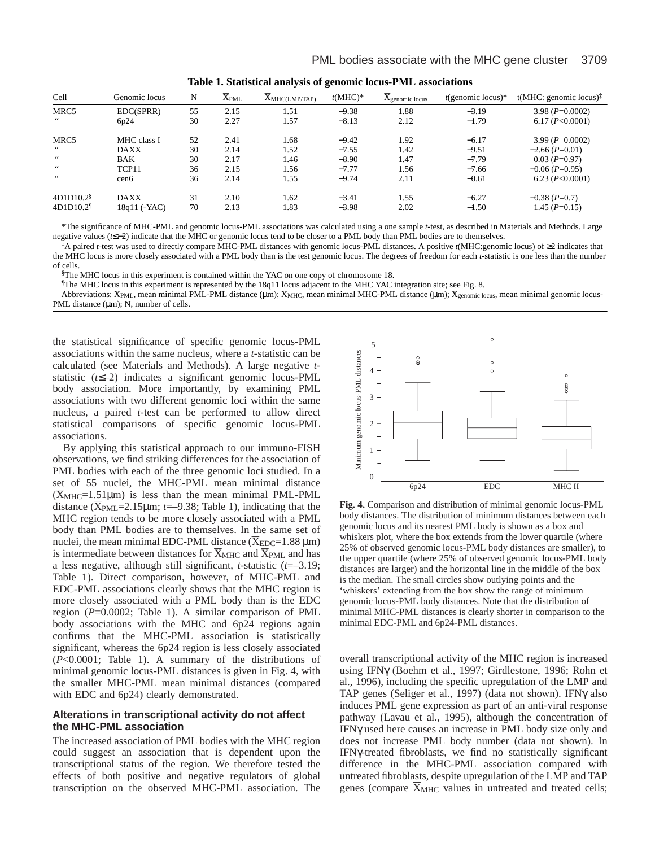| ີ                |    |                                        |                                      |            |                                       |                      |                                  |  |  |  |
|------------------|----|----------------------------------------|--------------------------------------|------------|---------------------------------------|----------------------|----------------------------------|--|--|--|
| Genomic locus    | N  | $\overline{\mathrm{X}}_{\mathrm{PML}}$ | $\overline{X}_{\text{MHC(LMP/TAP)}}$ | $t(MHC)^*$ | $\overline{X}_{\text{genomic locus}}$ | $t$ (genomic locus)* | t(MHC: genomic locus) $\ddagger$ |  |  |  |
| EDC(SPRR)        | 55 | 2.15                                   | 1.51                                 | $-9.38$    | 1.88                                  | $-3.19$              | $3.98 (P=0.0002)$                |  |  |  |
| 6p24             | 30 | 2.27                                   | 1.57                                 | $-8.13$    | 2.12                                  | $-1.79$              | 6.17 (P<0.0001)                  |  |  |  |
| MHC class I      | 52 | 2.41                                   | 1.68                                 | $-9.42$    | 1.92                                  | $-6.17$              | $3.99 (P=0.0002)$                |  |  |  |
| <b>DAXX</b>      | 30 | 2.14                                   | 1.52                                 | $-7.55$    | 1.42                                  | $-9.51$              | $-2.66$ (P=0.01)                 |  |  |  |
| <b>BAK</b>       | 30 | 2.17                                   | 1.46                                 | $-8.90$    | 1.47                                  | $-7.79$              | $0.03$ (P=0.97)                  |  |  |  |
| TCP11            | 36 | 2.15                                   | 1.56                                 | $-7.77$    | 1.56                                  | $-7.66$              | $-0.06$ (P=0.95)                 |  |  |  |
| cen <sub>6</sub> | 36 | 2.14                                   | 1.55                                 | $-9.74$    | 2.11                                  | $-0.61$              | 6.23 $(P<0.0001)$                |  |  |  |
| <b>DAXX</b>      | 31 | 2.10                                   | 1.62                                 | $-3.41$    | 1.55                                  | $-6.27$              | $-0.38$ ( <i>P</i> =0.7)         |  |  |  |
| 18q11 (-YAC)     | 70 | 2.13                                   | 1.83                                 | $-3.98$    | 2.02                                  | $-1.50$              | $1.45$ (P=0.15)                  |  |  |  |
|                  |    |                                        |                                      |            |                                       |                      |                                  |  |  |  |

**Table 1. Statistical analysis of genomic locus-PML associations**

\*The significance of MHC-PML and genomic locus-PML associations was calculated using a one sample *t*-test, as described in Materials and Methods. Large negative values (*t*≤−2) indicate that the MHC or genomic locus tend to be closer to a PML body than PML bodies are to themselves.

‡A paired *t*-test was used to directly compare MHC-PML distances with genomic locus-PML distances. A positive *t*(MHC:genomic locus) of ≥2 indicates that the MHC locus is more closely associated with a PML body than is the test genomic locus. The degrees of freedom for each *t*-statistic is one less than the number of cells.

§The MHC locus in this experiment is contained within the YAC on one copy of chromosome 18.

¶The MHC locus in this experiment is represented by the 18q11 locus adjacent to the MHC YAC integration site; see Fig. 8.

The MHC locus in this experiment is represented by the 18q11 locus adjacent to the MHC YAC integration site; see Fig. 8.<br>Abbreviations: Χ<sub>ΡΜL</sub>, mean minimal PML-PML distance (μm); Χ<sub>ΜΗC</sub>, mean minimal MHC-PML distance (μm PML distance ( $\mu$ m); N, number of cells.

the statistical significance of specific genomic locus-PML associations within the same nucleus, where a *t*-statistic can be calculated (see Materials and Methods). A large negative *t*statistic (*t*≤–2) indicates a significant genomic locus-PML body association. More importantly, by examining PML associations with two different genomic loci within the same nucleus, a paired *t*-test can be performed to allow direct statistical comparisons of specific genomic locus-PML associations.

By applying this statistical approach to our immuno-FISH observations, we find striking differences for the association of PML bodies with each of the three genomic loci studied. In a set of 55 nuclei, the MHC-PML mean minimal distance set of 55 nuclei, the MHC-PML mean minimal distance<br>( $\overline{X}_{\text{MHC}}$ =1.51 $\mu$ m) is less than the mean minimal PML-PML  $(X_{\text{MHC}}=1.51\,\mu\text{m})$  is less than the mean minimal PML-PML distance  $(\overline{X}_{\text{PML}}=2.15\,\mu\text{m}; t=-9.38; \text{Table 1}),$  indicating that the MHC region tends to be more closely associated with a PML body than PML bodies are to themselves. In the same set of body than PML bodies are to themselves. In the same set of nuclei, the mean minimal EDC-PML distance  $(\overline{X}_{EDC}=1.88 \,\mu m)$ nuclei, the mean minimal EDC-PML distance (X<sub>EDC</sub>=1.88 µm) is intermediate between distances for  $\overline{\mathrm{X}}_{\mathrm{MHC}}$  and  $\overline{\mathrm{X}}_{\mathrm{PML}}$  and has a less negative, although still significant, *t*-statistic (*t*=–3.19; Table 1). Direct comparison, however, of MHC-PML and EDC-PML associations clearly shows that the MHC region is more closely associated with a PML body than is the EDC region (*P*=0.0002; Table 1). A similar comparison of PML body associations with the MHC and 6p24 regions again confirms that the MHC-PML association is statistically significant, whereas the 6p24 region is less closely associated (*P*<0.0001; Table 1). A summary of the distributions of minimal genomic locus-PML distances is given in Fig. 4, with the smaller MHC-PML mean minimal distances (compared with EDC and 6p24) clearly demonstrated.

# **Alterations in transcriptional activity do not affect the MHC-PML association**

The increased association of PML bodies with the MHC region could suggest an association that is dependent upon the transcriptional status of the region. We therefore tested the effects of both positive and negative regulators of global transcription on the observed MHC-PML association. The



**Fig. 4.** Comparison and distribution of minimal genomic locus-PML body distances. The distribution of minimum distances between each genomic locus and its nearest PML body is shown as a box and whiskers plot, where the box extends from the lower quartile (where 25% of observed genomic locus-PML body distances are smaller), to the upper quartile (where 25% of observed genomic locus-PML body distances are larger) and the horizontal line in the middle of the box is the median. The small circles show outlying points and the 'whiskers' extending from the box show the range of minimum genomic locus-PML body distances. Note that the distribution of minimal MHC-PML distances is clearly shorter in comparison to the minimal EDC-PML and 6p24-PML distances.

overall transcriptional activity of the MHC region is increased using IFNγ (Boehm et al., 1997; Girdlestone, 1996; Rohn et al., 1996), including the specific upregulation of the LMP and TAP genes (Seliger et al., 1997) (data not shown). IFNγ also induces PML gene expression as part of an anti-viral response pathway (Lavau et al., 1995), although the concentration of IFNγ used here causes an increase in PML body size only and does not increase PML body number (data not shown). In IFNγ-treated fibroblasts, we find no statistically significant difference in the MHC-PML association compared with untreated fibroblasts, despite upregulation of the LMP and TAP untreated fibroblasts, despite upregulation of the LMP and TAP genes (compare  $\overline{X}_{MHC}$  values in untreated and treated cells;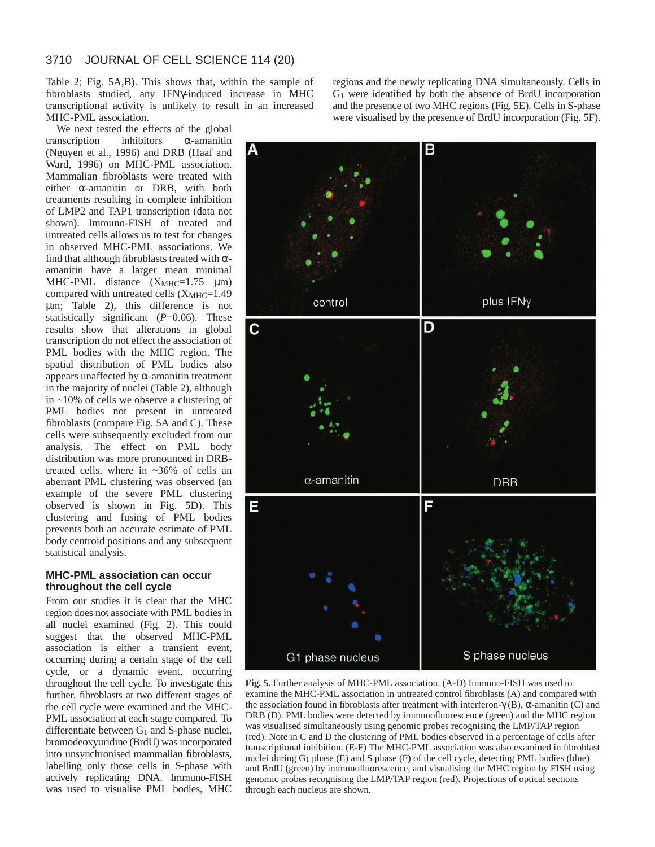Table 2; Fig. 5A,B). This shows that, within the sample of fibroblasts studied, any IFNγ-induced increase in MHC transcriptional activity is unlikely to result in an increased MHC-PML association.

We next tested the effects of the global transcription inhibitors α-amanitin (Nguyen et al., 1996) and DRB (Haaf and Ward, 1996) on MHC-PML association. Mammalian fibroblasts were treated with either α-amanitin or DRB, with both treatments resulting in complete inhibition of LMP2 and TAP1 transcription (data not shown). Immuno-FISH of treated and untreated cells allows us to test for changes in observed MHC-PML associations. We find that although fibroblasts treated with  $\alpha$ amanitin have a larger mean minimal amanıtın have a larger mean mınımal<br>MHC-PML distance  $(\overline{X}_{\text{MHC}}\text{=}1.75 \ \mu\text{m})$ MHC-PML distance  $(X_{\text{MHC}}=1.75 \mu m)$ <br>compared with untreated cells  $(X_{\text{MHC}}=1.49$ µm; Table 2), this difference is not statistically significant ( $P=0.06$ ). These results show that alterations in global transcription do not effect the association of PML bodies with the MHC region. The spatial distribution of PML bodies also appears unaffected by  $\alpha$ -amanitin treatment in the majority of nuclei (Table 2), although in ~10% of cells we observe a clustering of PML bodies not present in untreated fibroblasts (compare Fig. 5A and C). These cells were subsequently excluded from our analysis. The effect on PML body distribution was more pronounced in DRBtreated cells, where in ~36% of cells an aberrant PML clustering was observed (an example of the severe PML clustering observed is shown in Fig. 5D). This clustering and fusing of PML bodies prevents both an accurate estimate of PML body centroid positions and any subsequent statistical analysis.

### **MHC-PML association can occur throughout the cell cycle**

From our studies it is clear that the MHC region does not associate with PML bodies in all nuclei examined (Fig. 2). This could suggest that the observed MHC-PML association is either a transient event, occurring during a certain stage of the cell cycle, or a dynamic event, occurring throughout the cell cycle. To investigate this further, fibroblasts at two different stages of the cell cycle were examined and the MHC-PML association at each stage compared. To differentiate between  $G_1$  and S-phase nuclei, bromodeoxyuridine (BrdU) was incorporated into unsynchronised mammalian fibroblasts, labelling only those cells in S-phase with actively replicating DNA. Immuno-FISH was used to visualise PML bodies, MHC

regions and the newly replicating DNA simultaneously. Cells in G1 were identified by both the absence of BrdU incorporation and the presence of two MHC regions (Fig. 5E). Cells in S-phase were visualised by the presence of BrdU incorporation (Fig. 5F).



**Fig. 5.** Further analysis of MHC-PML association. (A-D) Immuno-FISH was used to examine the MHC-PML association in untreated control fibroblasts (A) and compared with the association found in fibroblasts after treatment with interferon-γ (B),  $α$ -amanitin (C) and DRB (D). PML bodies were detected by immunofluorescence (green) and the MHC region was visualised simultaneously using genomic probes recognising the LMP/TAP region (red). Note in C and D the clustering of PML bodies observed in a percentage of cells after transcriptional inhibition. (E-F) The MHC-PML association was also examined in fibroblast nuclei during G1 phase (E) and S phase (F) of the cell cycle, detecting PML bodies (blue) and BrdU (green) by immunofluorescence, and visualising the MHC region by FISH using genomic probes recognising the LMP/TAP region (red). Projections of optical sections through each nucleus are shown.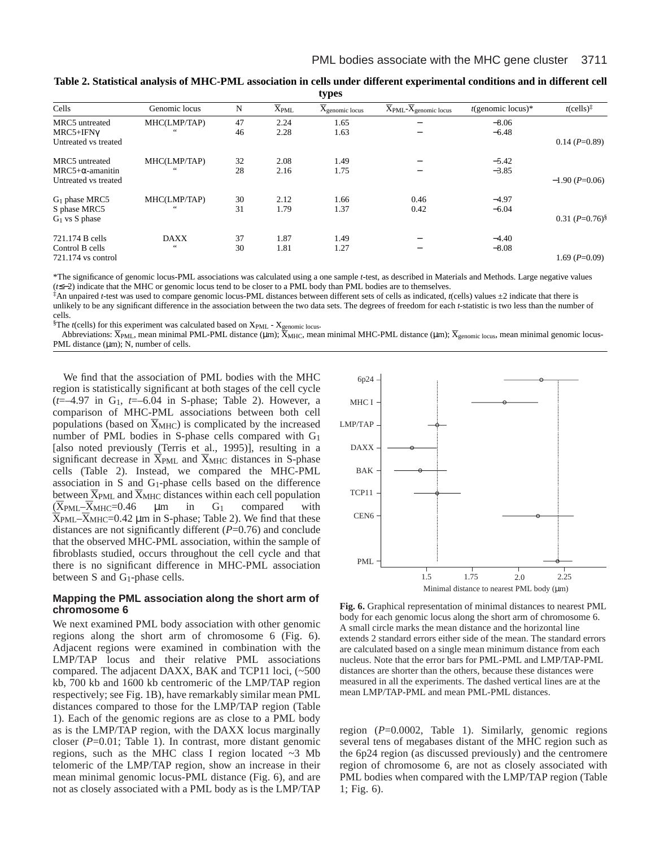| <b>Cypro</b>            |                        |    |                      |                                       |                            |                      |                                              |  |  |  |
|-------------------------|------------------------|----|----------------------|---------------------------------------|----------------------------|----------------------|----------------------------------------------|--|--|--|
| Cells                   | Genomic locus          | N  | $\overline{X}_{PML}$ | $\overline{X}_{\text{genomic locus}}$ | $X$ PML- $X$ genomic locus | $t$ (genomic locus)* | $t$ (cells) <sup><math>\ddagger</math></sup> |  |  |  |
| MRC5 untreated          | MHC(LMP/TAP)           | 47 | 2.24                 | 1.65                                  |                            | $-8.06$              |                                              |  |  |  |
| $MRC5+IFN\gamma$        | 66                     | 46 | 2.28                 | 1.63                                  |                            | $-6.48$              |                                              |  |  |  |
| Untreated vs treated    |                        |    |                      |                                       |                            |                      | $0.14$ (P=0.89)                              |  |  |  |
| MRC5 untreated          | MHC(LMP/TAP)           | 32 | 2.08                 | 1.49                                  |                            | $-5.42$              |                                              |  |  |  |
| $MRC5+\alpha$ -amanitin | 66                     | 28 | 2.16                 | 1.75                                  |                            | $-3.85$              |                                              |  |  |  |
| Untreated vs treated    |                        |    |                      |                                       |                            |                      | $-1.90$ (P=0.06)                             |  |  |  |
| $G1$ phase MRC5         | MHC(LMP/TAP)           | 30 | 2.12                 | 1.66                                  | 0.46                       | $-4.97$              |                                              |  |  |  |
| S phase MRC5            | 66                     | 31 | 1.79                 | 1.37                                  | 0.42                       | $-6.04$              |                                              |  |  |  |
| $G_1$ vs S phase        |                        |    |                      |                                       |                            |                      | $0.31 (P=0.76)^8$                            |  |  |  |
| 721.174 B cells         | <b>DAXX</b>            | 37 | 1.87                 | 1.49                                  |                            | $-4.40$              |                                              |  |  |  |
| Control B cells         | $\leftrightsquigarrow$ | 30 | 1.81                 | 1.27                                  | $\overline{\phantom{0}}$   | $-8.08$              |                                              |  |  |  |
| $721.174$ vs control    |                        |    |                      |                                       |                            |                      | $1.69$ ( $P=0.09$ )                          |  |  |  |

**Table 2. Statistical analysis of MHC-PML association in cells under different experimental conditions and in different cell types**

\*The significance of genomic locus-PML associations was calculated using a one sample *t*-test, as described in Materials and Methods. Large negative values (*t*≤−2) indicate that the MHC or genomic locus tend to be closer to a PML body than PML bodies are to themselves.

‡An unpaired *t*-test was used to compare genomic locus-PML distances between different sets of cells as indicated, *t*(cells) values ±2 indicate that there is unlikely to be any significant difference in the association between the two data sets. The degrees of freedom for each *t*-statistic is two less than the number of cells.

<sup>§</sup>The *t*(cells) for this experiment was calculated based on X<sub>PML</sub> - X<sub>genomic locus</sub>.

ne ηcells) for this experiment was calculated based on Xp<sub>ML</sub> - X<sub>genomic locus</sub>.<br>Abbreviations: X<sub>PML</sub>, mean minimal PML-PML distance (μm); X<sub>MHC</sub>, mean minimal MHC-PML distance (μm); X<sub>genomic locus</sub>, mean minimal genom PML distance  $(\mu m)$ ; N, number of cells.

We find that the association of PML bodies with the MHC region is statistically significant at both stages of the cell cycle (*t*=–4.97 in G1, *t*=–6.04 in S-phase; Table 2). However, a comparison of MHC-PML associations between both cell comparison of MHC-PML associations between both cell<br>populations (based on  $\overline{X}_{MHC}$ ) is complicated by the increased number of PML bodies in S-phase cells compared with G1 [also noted previously (Terris et al., 1995)], resulting in a (also noted previously (Terris et al., 1995)], resulting in a significant decrease in  $\overline{X}_{PML}$  and  $\overline{X}_{MHC}$  distances in S-phase cells (Table 2). Instead, we compared the MHC-PML association in S and G1-phase cells based on the difference association in S and  $G_1$ -phase cells based on the difference<br>between  $\overline{X}_{\text{PML}}$  and  $\overline{X}_{\text{MHC}}$  distances within each cell population between  $X_{\text{PML}}$  and  $X_{\text{MHC}}$  distances within each cell population<br>  $(\overline{X}_{\text{PML}} - \overline{X}_{\text{MHC}} = 0.46$   $\mu$ m in G<sub>1</sub> compared with<br>  $(\overline{X}_{\text{PML}} - \overline{X}_{\text{MUC}} = 0.42 \mu)$  in S phase: Table 2). We find that these  $(XPML-XMHC=0.46$   $\mu$ m in G<sub>1</sub> compared with  $X_{PML}-\overline{X}_{MHC}=0.42 \mu$ m in S-phase; Table 2). We find that these distances are not significantly different (*P*=0.76) and conclude that the observed MHC-PML association, within the sample of fibroblasts studied, occurs throughout the cell cycle and that there is no significant difference in MHC-PML association between S and G1-phase cells.

# **Mapping the PML association along the short arm of chromosome 6**

We next examined PML body association with other genomic regions along the short arm of chromosome 6 (Fig. 6). Adjacent regions were examined in combination with the LMP/TAP locus and their relative PML associations compared. The adjacent DAXX, BAK and TCP11 loci, (~500 kb, 700 kb and 1600 kb centromeric of the LMP/TAP region respectively; see Fig. 1B), have remarkably similar mean PML distances compared to those for the LMP/TAP region (Table 1). Each of the genomic regions are as close to a PML body as is the LMP/TAP region, with the DAXX locus marginally closer (*P*=0.01; Table 1). In contrast, more distant genomic regions, such as the MHC class I region located ~3 Mb telomeric of the LMP/TAP region, show an increase in their mean minimal genomic locus-PML distance (Fig. 6), and are not as closely associated with a PML body as is the LMP/TAP



**Fig. 6.** Graphical representation of minimal distances to nearest PML body for each genomic locus along the short arm of chromosome 6. A small circle marks the mean distance and the horizontal line extends 2 standard errors either side of the mean. The standard errors are calculated based on a single mean minimum distance from each nucleus. Note that the error bars for PML-PML and LMP/TAP-PML distances are shorter than the others, because these distances were measured in all the experiments. The dashed vertical lines are at the mean LMP/TAP-PML and mean PML-PML distances.

region (*P*=0.0002, Table 1). Similarly, genomic regions several tens of megabases distant of the MHC region such as the 6p24 region (as discussed previously) and the centromere region of chromosome 6, are not as closely associated with PML bodies when compared with the LMP/TAP region (Table 1; Fig. 6).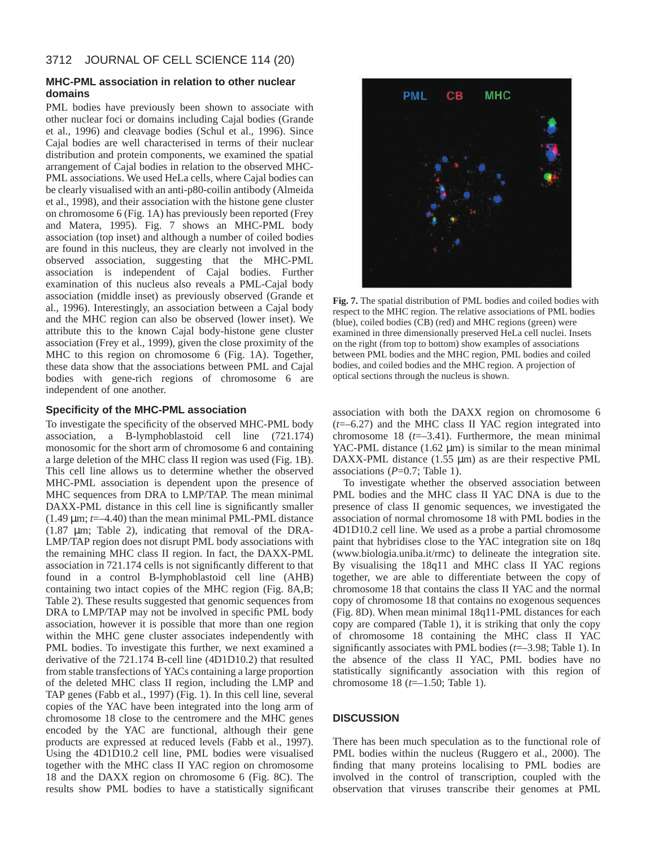# **MHC-PML association in relation to other nuclear domains**

PML bodies have previously been shown to associate with other nuclear foci or domains including Cajal bodies (Grande et al., 1996) and cleavage bodies (Schul et al., 1996). Since Cajal bodies are well characterised in terms of their nuclear distribution and protein components, we examined the spatial arrangement of Cajal bodies in relation to the observed MHC-PML associations. We used HeLa cells, where Cajal bodies can be clearly visualised with an anti-p80-coilin antibody (Almeida et al., 1998), and their association with the histone gene cluster on chromosome 6 (Fig. 1A) has previously been reported (Frey and Matera, 1995). Fig. 7 shows an MHC-PML body association (top inset) and although a number of coiled bodies are found in this nucleus, they are clearly not involved in the observed association, suggesting that the MHC-PML association is independent of Cajal bodies. Further examination of this nucleus also reveals a PML-Cajal body association (middle inset) as previously observed (Grande et al., 1996). Interestingly, an association between a Cajal body and the MHC region can also be observed (lower inset). We attribute this to the known Cajal body-histone gene cluster association (Frey et al., 1999), given the close proximity of the MHC to this region on chromosome 6 (Fig. 1A). Together, these data show that the associations between PML and Cajal bodies with gene-rich regions of chromosome 6 are independent of one another.

# **Specificity of the MHC-PML association**

To investigate the specificity of the observed MHC-PML body association, a B-lymphoblastoid cell line (721.174) monosomic for the short arm of chromosome 6 and containing a large deletion of the MHC class II region was used (Fig. 1B). This cell line allows us to determine whether the observed MHC-PML association is dependent upon the presence of MHC sequences from DRA to LMP/TAP. The mean minimal DAXX-PML distance in this cell line is significantly smaller  $(1.49 \,\mu m; t = -4.40)$  than the mean minimal PML-PML distance (1.87 µm; Table 2), indicating that removal of the DRA-LMP/TAP region does not disrupt PML body associations with the remaining MHC class II region. In fact, the DAXX-PML association in 721.174 cells is not significantly different to that found in a control B-lymphoblastoid cell line (AHB) containing two intact copies of the MHC region (Fig. 8A,B; Table 2). These results suggested that genomic sequences from DRA to LMP/TAP may not be involved in specific PML body association, however it is possible that more than one region within the MHC gene cluster associates independently with PML bodies. To investigate this further, we next examined a derivative of the 721.174 B-cell line (4D1D10.2) that resulted from stable transfections of YACs containing a large proportion of the deleted MHC class II region, including the LMP and TAP genes (Fabb et al., 1997) (Fig. 1). In this cell line, several copies of the YAC have been integrated into the long arm of chromosome 18 close to the centromere and the MHC genes encoded by the YAC are functional, although their gene products are expressed at reduced levels (Fabb et al., 1997). Using the 4D1D10.2 cell line, PML bodies were visualised together with the MHC class II YAC region on chromosome 18 and the DAXX region on chromosome 6 (Fig. 8C). The results show PML bodies to have a statistically significant



**Fig. 7.** The spatial distribution of PML bodies and coiled bodies with respect to the MHC region. The relative associations of PML bodies (blue), coiled bodies (CB) (red) and MHC regions (green) were examined in three dimensionally preserved HeLa cell nuclei. Insets on the right (from top to bottom) show examples of associations between PML bodies and the MHC region, PML bodies and coiled bodies, and coiled bodies and the MHC region. A projection of optical sections through the nucleus is shown.

association with both the DAXX region on chromosome 6 (*t*=–6.27) and the MHC class II YAC region integrated into chromosome 18  $(t=-3.41)$ . Furthermore, the mean minimal YAC-PML distance  $(1.62 \mu m)$  is similar to the mean minimal DAXX-PML distance  $(1.55 \mu m)$  as are their respective PML associations (*P*=0.7; Table 1).

To investigate whether the observed association between PML bodies and the MHC class II YAC DNA is due to the presence of class II genomic sequences, we investigated the association of normal chromosome 18 with PML bodies in the 4D1D10.2 cell line. We used as a probe a partial chromosome paint that hybridises close to the YAC integration site on 18q (www.biologia.uniba.it/rmc) to delineate the integration site. By visualising the 18q11 and MHC class II YAC regions together, we are able to differentiate between the copy of chromosome 18 that contains the class II YAC and the normal copy of chromosome 18 that contains no exogenous sequences (Fig. 8D). When mean minimal 18q11-PML distances for each copy are compared (Table 1), it is striking that only the copy of chromosome 18 containing the MHC class II YAC significantly associates with PML bodies (*t*=–3.98; Table 1). In the absence of the class II YAC, PML bodies have no statistically significantly association with this region of chromosome 18 (*t*=–1.50; Table 1).

# **DISCUSSION**

There has been much speculation as to the functional role of PML bodies within the nucleus (Ruggero et al., 2000). The finding that many proteins localising to PML bodies are involved in the control of transcription, coupled with the observation that viruses transcribe their genomes at PML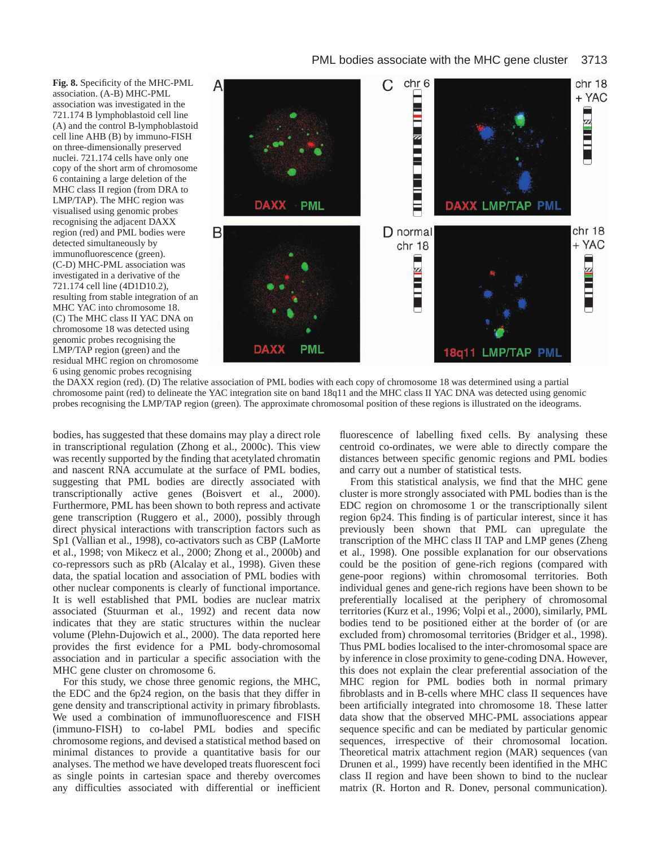# PML bodies associate with the MHC gene cluster 3713

**Fig. 8.** Specificity of the MHC-PML association. (A-B) MHC-PML association was investigated in the 721.174 B lymphoblastoid cell line (A) and the control B-lymphoblastoid cell line AHB (B) by immuno-FISH on three-dimensionally preserved nuclei. 721.174 cells have only one copy of the short arm of chromosome 6 containing a large deletion of the MHC class II region (from DRA to LMP/TAP). The MHC region was visualised using genomic probes recognising the adjacent DAXX region (red) and PML bodies were detected simultaneously by immunofluorescence (green). (C-D) MHC-PML association was investigated in a derivative of the 721.174 cell line (4D1D10.2), resulting from stable integration of an MHC YAC into chromosome 18. (C) The MHC class II YAC DNA on chromosome 18 was detected using genomic probes recognising the LMP/TAP region (green) and the residual MHC region on chromosome 6 using genomic probes recognising



the DAXX region (red). (D) The relative association of PML bodies with each copy of chromosome 18 was determined using a partial chromosome paint (red) to delineate the YAC integration site on band 18q11 and the MHC class II YAC DNA was detected using genomic probes recognising the LMP/TAP region (green). The approximate chromosomal position of these regions is illustrated on the ideograms.

bodies, has suggested that these domains may play a direct role in transcriptional regulation (Zhong et al., 2000c). This view was recently supported by the finding that acetylated chromatin and nascent RNA accumulate at the surface of PML bodies, suggesting that PML bodies are directly associated with transcriptionally active genes (Boisvert et al., 2000). Furthermore, PML has been shown to both repress and activate gene transcription (Ruggero et al., 2000), possibly through direct physical interactions with transcription factors such as Sp1 (Vallian et al., 1998), co-activators such as CBP (LaMorte et al., 1998; von Mikecz et al., 2000; Zhong et al., 2000b) and co-repressors such as pRb (Alcalay et al., 1998). Given these data, the spatial location and association of PML bodies with other nuclear components is clearly of functional importance. It is well established that PML bodies are nuclear matrix associated (Stuurman et al., 1992) and recent data now indicates that they are static structures within the nuclear volume (Plehn-Dujowich et al., 2000). The data reported here provides the first evidence for a PML body-chromosomal association and in particular a specific association with the MHC gene cluster on chromosome 6.

For this study, we chose three genomic regions, the MHC, the EDC and the 6p24 region, on the basis that they differ in gene density and transcriptional activity in primary fibroblasts. We used a combination of immunofluorescence and FISH (immuno-FISH) to co-label PML bodies and specific chromosome regions, and devised a statistical method based on minimal distances to provide a quantitative basis for our analyses. The method we have developed treats fluorescent foci as single points in cartesian space and thereby overcomes any difficulties associated with differential or inefficient fluorescence of labelling fixed cells. By analysing these centroid co-ordinates, we were able to directly compare the distances between specific genomic regions and PML bodies and carry out a number of statistical tests.

From this statistical analysis, we find that the MHC gene cluster is more strongly associated with PML bodies than is the EDC region on chromosome 1 or the transcriptionally silent region 6p24. This finding is of particular interest, since it has previously been shown that PML can upregulate the transcription of the MHC class II TAP and LMP genes (Zheng et al., 1998). One possible explanation for our observations could be the position of gene-rich regions (compared with gene-poor regions) within chromosomal territories. Both individual genes and gene-rich regions have been shown to be preferentially localised at the periphery of chromosomal territories (Kurz et al., 1996; Volpi et al., 2000), similarly, PML bodies tend to be positioned either at the border of (or are excluded from) chromosomal territories (Bridger et al., 1998). Thus PML bodies localised to the inter-chromosomal space are by inference in close proximity to gene-coding DNA. However, this does not explain the clear preferential association of the MHC region for PML bodies both in normal primary fibroblasts and in B-cells where MHC class II sequences have been artificially integrated into chromosome 18. These latter data show that the observed MHC-PML associations appear sequence specific and can be mediated by particular genomic sequences, irrespective of their chromosomal location. Theoretical matrix attachment region (MAR) sequences (van Drunen et al., 1999) have recently been identified in the MHC class II region and have been shown to bind to the nuclear matrix (R. Horton and R. Donev, personal communication).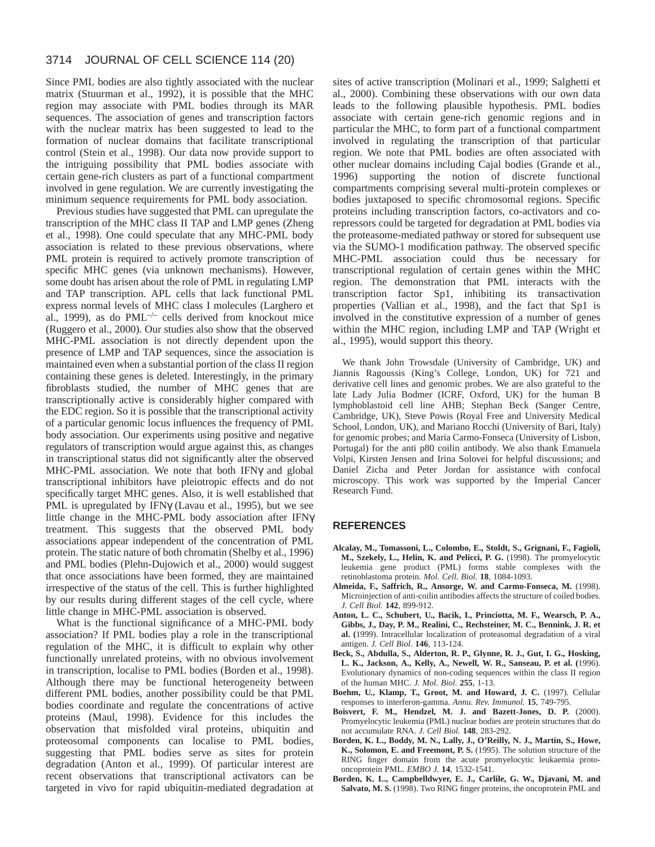#### 3714 JOURNAL OF CELL SCIENCE 114 (20)

Since PML bodies are also tightly associated with the nuclear matrix (Stuurman et al., 1992), it is possible that the MHC region may associate with PML bodies through its MAR sequences. The association of genes and transcription factors with the nuclear matrix has been suggested to lead to the formation of nuclear domains that facilitate transcriptional control (Stein et al., 1998). Our data now provide support to the intriguing possibility that PML bodies associate with certain gene-rich clusters as part of a functional compartment involved in gene regulation. We are currently investigating the minimum sequence requirements for PML body association.

Previous studies have suggested that PML can upregulate the transcription of the MHC class II TAP and LMP genes (Zheng et al., 1998). One could speculate that any MHC-PML body association is related to these previous observations, where PML protein is required to actively promote transcription of specific MHC genes (via unknown mechanisms). However, some doubt has arisen about the role of PML in regulating LMP and TAP transcription. APL cells that lack functional PML express normal levels of MHC class I molecules (Larghero et al., 1999), as do PML $^{-/-}$  cells derived from knockout mice (Ruggero et al., 2000). Our studies also show that the observed MHC-PML association is not directly dependent upon the presence of LMP and TAP sequences, since the association is maintained even when a substantial portion of the class II region containing these genes is deleted. Interestingly, in the primary fibroblasts studied, the number of MHC genes that are transcriptionally active is considerably higher compared with the EDC region. So it is possible that the transcriptional activity of a particular genomic locus influences the frequency of PML body association. Our experiments using positive and negative regulators of transcription would argue against this, as changes in transcriptional status did not significantly alter the observed MHC-PML association. We note that both IFNγ and global transcriptional inhibitors have pleiotropic effects and do not specifically target MHC genes. Also, it is well established that PML is upregulated by IFNγ (Lavau et al., 1995), but we see little change in the MHC-PML body association after IFNγ treatment. This suggests that the observed PML body associations appear independent of the concentration of PML protein. The static nature of both chromatin (Shelby et al., 1996) and PML bodies (Plehn-Dujowich et al., 2000) would suggest that once associations have been formed, they are maintained irrespective of the status of the cell. This is further highlighted by our results during different stages of the cell cycle, where little change in MHC-PML association is observed.

What is the functional significance of a MHC-PML body association? If PML bodies play a role in the transcriptional regulation of the MHC, it is difficult to explain why other functionally unrelated proteins, with no obvious involvement in transcription, localise to PML bodies (Borden et al., 1998). Although there may be functional heterogeneity between different PML bodies, another possibility could be that PML bodies coordinate and regulate the concentrations of active proteins (Maul, 1998). Evidence for this includes the observation that misfolded viral proteins, ubiquitin and proteosomal components can localise to PML bodies, suggesting that PML bodies serve as sites for protein degradation (Anton et al., 1999). Of particular interest are recent observations that transcriptional activators can be targeted in vivo for rapid ubiquitin-mediated degradation at

sites of active transcription (Molinari et al., 1999; Salghetti et al., 2000). Combining these observations with our own data leads to the following plausible hypothesis. PML bodies associate with certain gene-rich genomic regions and in particular the MHC, to form part of a functional compartment involved in regulating the transcription of that particular region. We note that PML bodies are often associated with other nuclear domains including Cajal bodies (Grande et al., 1996) supporting the notion of discrete functional compartments comprising several multi-protein complexes or bodies juxtaposed to specific chromosomal regions. Specific proteins including transcription factors, co-activators and corepressors could be targeted for degradation at PML bodies via the proteasome-mediated pathway or stored for subsequent use via the SUMO-1 modification pathway. The observed specific MHC-PML association could thus be necessary for transcriptional regulation of certain genes within the MHC region. The demonstration that PML interacts with the transcription factor Sp1, inhibiting its transactivation properties (Vallian et al., 1998), and the fact that Sp1 is involved in the constitutive expression of a number of genes within the MHC region, including LMP and TAP (Wright et al., 1995), would support this theory.

We thank John Trowsdale (University of Cambridge, UK) and Jiannis Ragoussis (King's College, London, UK) for 721 and derivative cell lines and genomic probes. We are also grateful to the late Lady Julia Bodmer (ICRF, Oxford, UK) for the human B lymphoblastoid cell line AHB; Stephan Beck (Sanger Centre, Cambridge, UK), Steve Powis (Royal Free and University Medical School, London, UK), and Mariano Rocchi (University of Bari, Italy) for genomic probes; and Maria Carmo-Fonseca (University of Lisbon, Portugal) for the anti p80 coilin antibody. We also thank Emanuela Volpi, Kirsten Jensen and Irina Solovei for helpful discussions; and Daniel Zicha and Peter Jordan for assistance with confocal microscopy. This work was supported by the Imperial Cancer Research Fund.

#### **REFERENCES**

- **Alcalay, M., Tomassoni, L., Colombo, E., Stoldt, S., Grignani, F., Fagioli, M., Szekely, L., Helin, K. and Pelicci, P. G.** (1998). The promyelocytic leukemia gene product (PML) forms stable complexes with the retinoblastoma protein. *Mol. Cell. Biol.* **18**, 1084-1093.
- **Almeida, F., Saffrich, R., Ansorge, W. and Carmo-Fonseca, M.** (1998). Microinjection of anti-coilin antibodies affects the structure of coiled bodies. *J. Cell Biol.* **142**, 899-912.
- **Anton, L. C., Schubert, U., Bacik, I., Princiotta, M. F., Wearsch, P. A., Gibbs, J., Day, P. M., Realini, C., Rechsteiner, M. C., Bennink, J. R. et al. (**1999). Intracellular localization of proteasomal degradation of a viral antigen. *J. Cell Biol.* **146**, 113-124.
- **Beck, S., Abdulla, S., Alderton, R. P., Glynne, R. J., Gut, I. G., Hosking, L. K., Jackson, A., Kelly, A., Newell, W. R., Sanseau, P. et al. (**1996). Evolutionary dynamics of non-coding sequences within the class II region of the human MHC. *J. Mol. Biol.* **255**, 1-13.
- **Boehm, U., Klamp, T., Groot, M. and Howard, J. C.** (1997). Cellular responses to interferon-gamma. *Annu. Rev. Immunol.* **15**, 749-795.
- **Boisvert, F. M., Hendzel, M. J. and Bazett-Jones, D. P.** (2000). Promyelocytic leukemia (PML) nuclear bodies are protein structures that do not accumulate RNA. *J. Cell Biol.* **148**, 283-292.
- **Borden, K. L., Boddy, M. N., Lally, J., O'Reilly, N. J., Martin, S., Howe, K., Solomon, E. and Freemont, P. S.** (1995). The solution structure of the RING finger domain from the acute promyelocytic leukaemia protooncoprotein PML. *EMBO J.* **14**, 1532-1541.
- **Borden, K. L., Campbelldwyer, E. J., Carlile, G. W., Djavani, M. and Salvato, M. S.** (1998). Two RING finger proteins, the oncoprotein PML and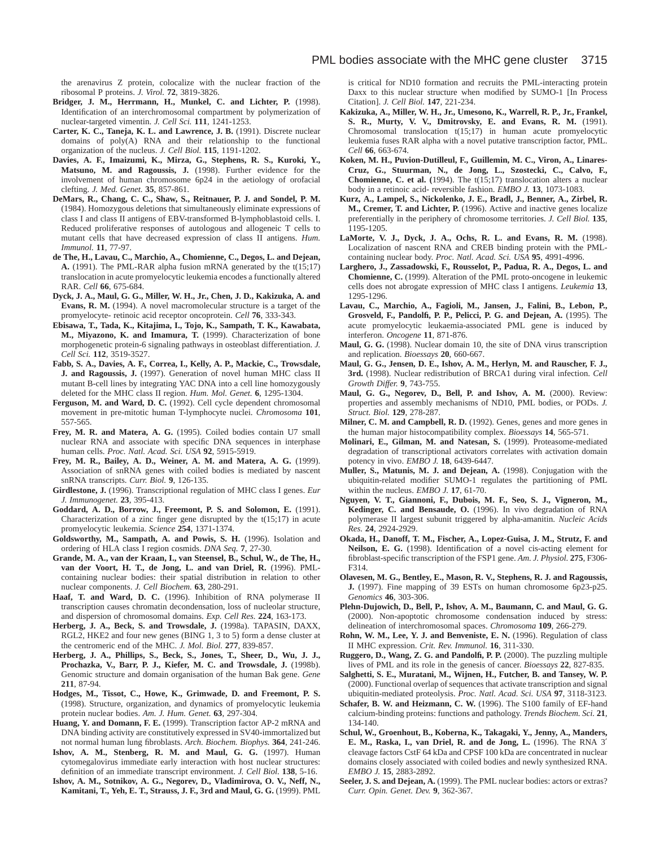the arenavirus Z protein, colocalize with the nuclear fraction of the ribosomal P proteins. *J. Virol.* **72**, 3819-3826.

- **Bridger, J. M., Herrmann, H., Munkel, C. and Lichter, P.** (1998). Identification of an interchromosomal compartment by polymerization of nuclear-targeted vimentin. *J. Cell Sci.* **111**, 1241-1253.
- **Carter, K. C., Taneja, K. L. and Lawrence, J. B.** (1991). Discrete nuclear domains of poly(A) RNA and their relationship to the functional organization of the nucleus. *J. Cell Biol.* **115**, 1191-1202.
- **Davies, A. F., Imaizumi, K., Mirza, G., Stephens, R. S., Kuroki, Y., Matsuno, M. and Ragoussis, J.** (1998). Further evidence for the involvement of human chromosome 6p24 in the aetiology of orofacial clefting. *J. Med. Genet.* **35**, 857-861.
- **DeMars, R., Chang, C. C., Shaw, S., Reitnauer, P. J. and Sondel, P. M.** (1984). Homozygous deletions that simultaneously eliminate expressions of class I and class II antigens of EBV-transformed B-lymphoblastoid cells. I. Reduced proliferative responses of autologous and allogeneic T cells to mutant cells that have decreased expression of class II antigens. *Hum. Immunol.* **11**, 77-97.
- **de The, H., Lavau, C., Marchio, A., Chomienne, C., Degos, L. and Dejean, A.** (1991). The PML-RAR alpha fusion mRNA generated by the t(15;17) translocation in acute promyelocytic leukemia encodes a functionally altered RAR. *Cell* **66**, 675-684.
- **Dyck, J. A., Maul, G. G., Miller, W. H., Jr., Chen, J. D., Kakizuka, A. and Evans, R. M.** (1994). A novel macromolecular structure is a target of the promyelocyte- retinoic acid receptor oncoprotein. *Cell* **76**, 333-343.
- **Ebisawa, T., Tada, K., Kitajima, I., Tojo, K., Sampath, T. K., Kawabata, M., Miyazono, K. and Imamura, T.** (1999). Characterization of bone morphogenetic protein-6 signaling pathways in osteoblast differentiation. *J. Cell Sci.* **112**, 3519-3527.
- **Fabb, S. A., Davies, A. F., Correa, I., Kelly, A. P., Mackie, C., Trowsdale, J. and Ragoussis, J.** (1997). Generation of novel human MHC class II mutant B-cell lines by integrating YAC DNA into a cell line homozygously deleted for the MHC class II region. *Hum. Mol. Genet.* **6**, 1295-1304.
- **Ferguson, M. and Ward, D. C.** (1992). Cell cycle dependent chromosomal movement in pre-mitotic human T-lymphocyte nuclei. *Chromosoma* **101**, 557-565.
- **Frey, M. R. and Matera, A. G.** (1995). Coiled bodies contain U7 small nuclear RNA and associate with specific DNA sequences in interphase human cells. *Proc. Natl. Acad. Sci. USA* **92**, 5915-5919.
- **Frey, M. R., Bailey, A. D., Weiner, A. M. and Matera, A. G.** (1999). Association of snRNA genes with coiled bodies is mediated by nascent snRNA transcripts. *Curr. Biol.* **9**, 126-135.
- **Girdlestone, J.** (1996). Transcriptional regulation of MHC class I genes. *Eur J. Immunogenet.* **23**, 395-413.
- **Goddard, A. D., Borrow, J., Freemont, P. S. and Solomon, E.** (1991). Characterization of a zinc finger gene disrupted by the  $t(15;17)$  in acute promyelocytic leukemia. *Science* **254**, 1371-1374.
- **Goldsworthy, M., Sampath, A. and Powis, S. H.** (1996). Isolation and ordering of HLA class I region cosmids. *DNA Seq.* **7**, 27-30.
- **Grande, M. A., van der Kraan, I., van Steensel, B., Schul, W., de The, H., van der Voort, H. T., de Jong, L. and van Driel, R.** (1996). PMLcontaining nuclear bodies: their spatial distribution in relation to other nuclear components. *J. Cell Biochem.* **63**, 280-291.
- **Haaf, T. and Ward, D. C.** (1996). Inhibition of RNA polymerase II transcription causes chromatin decondensation, loss of nucleolar structure, and dispersion of chromosomal domains. *Exp. Cell Res.* **224**, 163-173.
- **Herberg, J. A., Beck, S. and Trowsdale, J.** (1998a). TAPASIN, DAXX, RGL2, HKE2 and four new genes (BING 1, 3 to 5) form a dense cluster at the centromeric end of the MHC. *J. Mol. Biol.* **277**, 839-857.
- **Herberg, J. A., Phillips, S., Beck, S., Jones, T., Sheer, D., Wu, J. J., Prochazka, V., Barr, P. J., Kiefer, M. C. and Trowsdale, J.** (1998b). Genomic structure and domain organisation of the human Bak gene. *Gene* **211**, 87-94.
- **Hodges, M., Tissot, C., Howe, K., Grimwade, D. and Freemont, P. S.** (1998). Structure, organization, and dynamics of promyelocytic leukemia protein nuclear bodies. *Am. J. Hum. Genet.* **63**, 297-304.
- **Huang, Y. and Domann, F. E.** (1999). Transcription factor AP-2 mRNA and DNA binding activity are constitutively expressed in SV40-immortalized but not normal human lung fibroblasts. *Arch. Biochem. Biophys.* **364**, 241-246.
- **Ishov, A. M., Stenberg, R. M. and Maul, G. G.** (1997). Human cytomegalovirus immediate early interaction with host nuclear structures: definition of an immediate transcript environment. *J. Cell Biol.* **138**, 5-16.
- **Ishov, A. M., Sotnikov, A. G., Negorev, D., Vladimirova, O. V., Neff, N., Kamitani, T., Yeh, E. T., Strauss, J. F., 3rd and Maul, G. G.** (1999). PML

is critical for ND10 formation and recruits the PML-interacting protein Daxx to this nuclear structure when modified by SUMO-1 [In Process Citation]. *J. Cell Biol.* **147**, 221-234.

- **Kakizuka, A., Miller, W. H., Jr., Umesono, K., Warrell, R. P., Jr., Frankel, S. R., Murty, V. V., Dmitrovsky, E. and Evans, R. M.** (1991). Chromosomal translocation t(15;17) in human acute promyelocytic leukemia fuses RAR alpha with a novel putative transcription factor, PML. *Cell* **66**, 663-674.
- **Koken, M. H., Puvion-Dutilleul, F., Guillemin, M. C., Viron, A., Linares-Cruz, G., Stuurman, N., de Jong, L., Szostecki, C., Calvo, F., Chomienne, C. et al. (**1994). The t(15;17) translocation alters a nuclear body in a retinoic acid- reversible fashion. *EMBO J.* **13**, 1073-1083.
- **Kurz, A., Lampel, S., Nickolenko, J. E., Bradl, J., Benner, A., Zirbel, R. M., Cremer, T. and Lichter, P.** (1996). Active and inactive genes localize preferentially in the periphery of chromosome territories. *J. Cell Biol.* **135**, 1195-1205.
- **LaMorte, V. J., Dyck, J. A., Ochs, R. L. and Evans, R. M.** (1998). Localization of nascent RNA and CREB binding protein with the PMLcontaining nuclear body. *Proc. Natl. Acad. Sci. USA* **95**, 4991-4996.
- **Larghero, J., Zassadowski, F., Rousselot, P., Padua, R. A., Degos, L. and Chomienne, C.** (1999). Alteration of the PML proto-oncogene in leukemic cells does not abrogate expression of MHC class I antigens. *Leukemia* **13**, 1295-1296.
- **Lavau, C., Marchio, A., Fagioli, M., Jansen, J., Falini, B., Lebon, P., Grosveld, F., Pandolfi, P. P., Pelicci, P. G. and Dejean, A.** (1995). The acute promyelocytic leukaemia-associated PML gene is induced by interferon. *Oncogene* **11**, 871-876.
- **Maul, G. G.** (1998). Nuclear domain 10, the site of DNA virus transcription and replication. *Bioessays* **20**, 660-667.
- **Maul, G. G., Jensen, D. E., Ishov, A. M., Herlyn, M. and Rauscher, F. J., 3rd.** (1998). Nuclear redistribution of BRCA1 during viral infection. *Cell Growth Differ.* **9**, 743-755.
- **Maul, G. G., Negorev, D., Bell, P. and Ishov, A. M.** (2000). Review: properties and assembly mechanisms of ND10, PML bodies, or PODs. *J. Struct. Biol.* **129**, 278-287.
- **Milner, C. M. and Campbell, R. D.** (1992). Genes, genes and more genes in the human major histocompatibility complex. *Bioessays* **14**, 565-571.
- **Molinari, E., Gilman, M. and Natesan, S.** (1999). Proteasome-mediated degradation of transcriptional activators correlates with activation domain potency in vivo. *EMBO J.* **18**, 6439-6447.
- **Muller, S., Matunis, M. J. and Dejean, A.** (1998). Conjugation with the ubiquitin-related modifier SUMO-1 regulates the partitioning of PML within the nucleus. *EMBO J.* **17**, 61-70.
- **Nguyen, V. T., Giannoni, F., Dubois, M. F., Seo, S. J., Vigneron, M., Kedinger, C. and Bensaude, O.** (1996). In vivo degradation of RNA polymerase II largest subunit triggered by alpha-amanitin. *Nucleic Acids Res.* **24**, 2924-2929.
- **Okada, H., Danoff, T. M., Fischer, A., Lopez-Guisa, J. M., Strutz, F. and Neilson, E. G.** (1998). Identification of a novel cis-acting element for fibroblast-specific transcription of the FSP1 gene. *Am. J. Physiol.* **275**, F306- F314.
- **Olavesen, M. G., Bentley, E., Mason, R. V., Stephens, R. J. and Ragoussis, J.** (1997). Fine mapping of 39 ESTs on human chromosome 6p23-p25. *Genomics* **46**, 303-306.
- **Plehn-Dujowich, D., Bell, P., Ishov, A. M., Baumann, C. and Maul, G. G.** (2000). Non-apoptotic chromosome condensation induced by stress: delineation of interchromosomal spaces. *Chromosoma* **109**, 266-279.
- **Rohn, W. M., Lee, Y. J. and Benveniste, E. N.** (1996). Regulation of class II MHC expression. *Crit. Rev. Immunol.* **16**, 311-330.
- **Ruggero, D., Wang, Z. G. and Pandolfi, P. P.** (2000). The puzzling multiple lives of PML and its role in the genesis of cancer. *Bioessays* **22**, 827-835.
- **Salghetti, S. E., Muratani, M., Wijnen, H., Futcher, B. and Tansey, W. P.** (2000). Functional overlap of sequences that activate transcription and signal ubiquitin-mediated proteolysis. *Proc. Natl. Acad. Sci. USA* **97**, 3118-3123.
- **Schafer, B. W. and Heizmann, C. W.** (1996). The S100 family of EF-hand calcium-binding proteins: functions and pathology. *Trends Biochem. Sci.* **21**, 134-140.
- **Schul, W., Groenhout, B., Koberna, K., Takagaki, Y., Jenny, A., Manders, E. M., Raska, I., van Driel, R. and de Jong, L.** (1996). The RNA 3′ cleavage factors CstF 64 kDa and CPSF 100 kDa are concentrated in nuclear domains closely associated with coiled bodies and newly synthesized RNA. *EMBO J.* **15**, 2883-2892.
- **Seeler, J. S. and Dejean, A.** (1999). The PML nuclear bodies: actors or extras? *Curr. Opin. Genet. Dev.* **9**, 362-367.